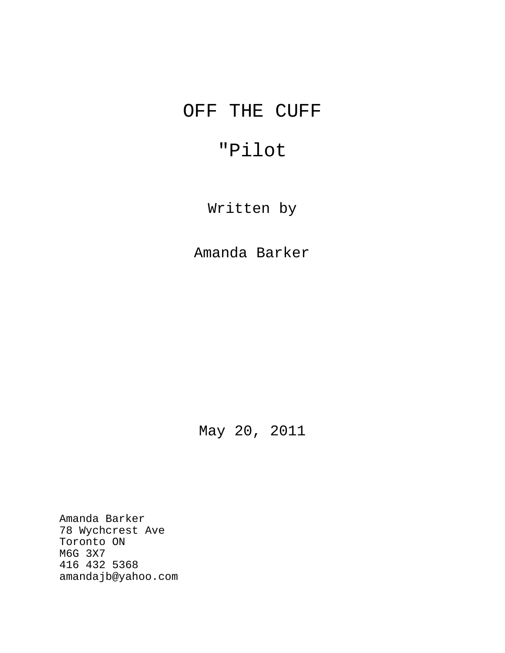# OFF THE CUFF

# "Pilot

Written by

Amanda Barker

May 20, 2011

Amanda Barker 78 Wychcrest Ave Toronto ON M6G 3X7 416 432 5368 amandajb@yahoo.com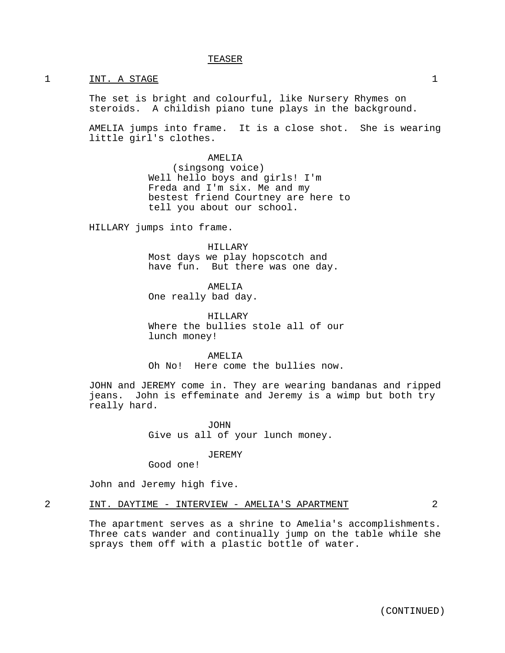## TEASER

#### 1 INT. A STAGE 1

The set is bright and colourful, like Nursery Rhymes on steroids. A childish piano tune plays in the background.

AMELIA jumps into frame. It is a close shot. She is wearing little girl's clothes.

> AMELIA (singsong voice) Well hello boys and girls! I'm Freda and I'm six. Me and my bestest friend Courtney are here to tell you about our school.

HILLARY jumps into frame.

HILLARY Most days we play hopscotch and have fun. But there was one day.

AMELIA One really bad day.

HILLARY Where the bullies stole all of our lunch money!

AMELIA Oh No! Here come the bullies now.

JOHN and JEREMY come in. They are wearing bandanas and ripped jeans. John is effeminate and Jeremy is a wimp but both try really hard.

> JOHN Give us all of your lunch money.

> > JEREMY

Good one!

John and Jeremy high five.

## 2 INT. DAYTIME - INTERVIEW - AMELIA'S APARTMENT 2

The apartment serves as a shrine to Amelia's accomplishments. Three cats wander and continually jump on the table while she sprays them off with a plastic bottle of water.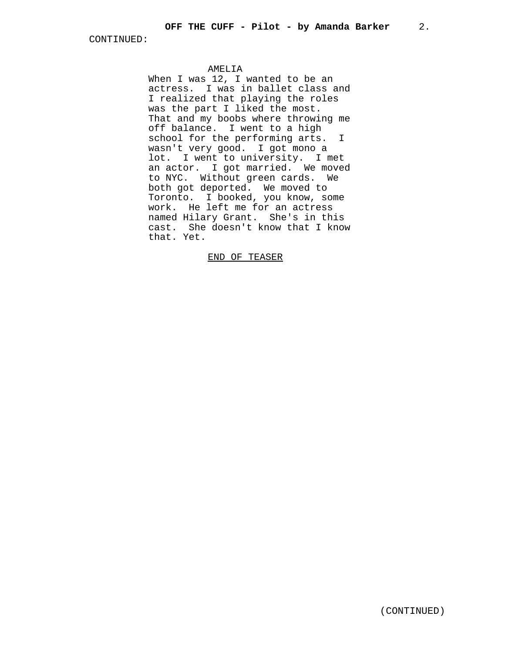#### AMELIA

When I was 12, I wanted to be an actress. I was in ballet class and I realized that playing the roles was the part I liked the most. That and my boobs where throwing me off balance. I went to a high school for the performing arts. I wasn't very good. I got mono a lot. I went to university. I met an actor. I got married. We moved to NYC. Without green cards. We both got deported. We moved to Toronto. I booked, you know, some work. He left me for an actress named Hilary Grant. She's in this cast. She doesn't know that I know that. Yet.

## END OF TEASER

(CONTINUED)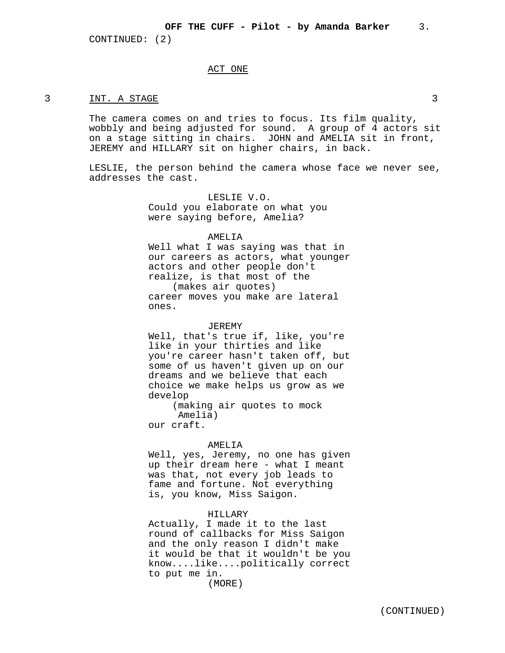#### ACT ONE

#### 3 INT. A STAGE 3

The camera comes on and tries to focus. Its film quality, wobbly and being adjusted for sound. A group of 4 actors sit on a stage sitting in chairs. JOHN and AMELIA sit in front, JEREMY and HILLARY sit on higher chairs, in back.

LESLIE, the person behind the camera whose face we never see, addresses the cast.

> LESLIE V.O. Could you elaborate on what you were saying before, Amelia?

#### AMELIA

Well what I was saying was that in our careers as actors, what younger actors and other people don't realize, is that most of the (makes air quotes) career moves you make are lateral ones.

#### JEREMY

Well, that's true if, like, you're like in your thirties and like you're career hasn't taken off, but some of us haven't given up on our dreams and we believe that each choice we make helps us grow as we develop

(making air quotes to mock Amelia) our craft.

#### AMELIA

Well, yes, Jeremy, no one has given up their dream here - what I meant was that, not every job leads to fame and fortune. Not everything is, you know, Miss Saigon.

## HILLARY

Actually, I made it to the last round of callbacks for Miss Saigon and the only reason I didn't make it would be that it wouldn't be you know....like....politically correct to put me in.

(MORE)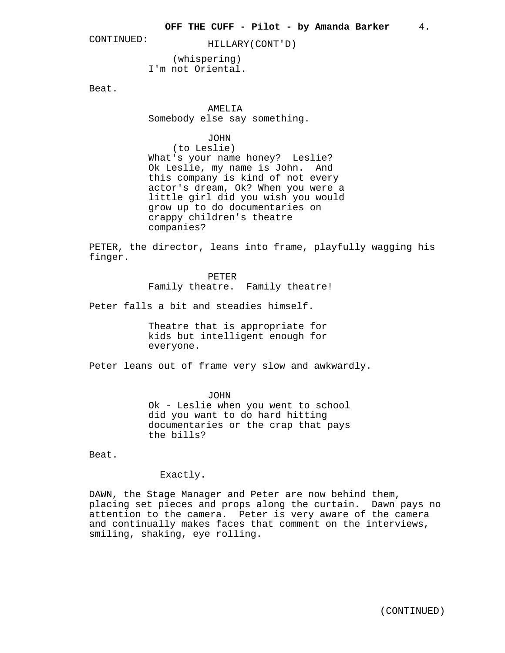CONTINUED: HILLARY(CONT'D)

(whispering) I'm not Oriental.

Beat.

AMELIA

Somebody else say something.

JOHN

(to Leslie) What's your name honey? Leslie? Ok Leslie, my name is John. And this company is kind of not every actor's dream, Ok? When you were a little girl did you wish you would grow up to do documentaries on crappy children's theatre companies?

PETER, the director, leans into frame, playfully wagging his finger.

> PETER Family theatre. Family theatre!

Peter falls a bit and steadies himself.

Theatre that is appropriate for kids but intelligent enough for everyone.

Peter leans out of frame very slow and awkwardly.

JOHN

Ok - Leslie when you went to school did you want to do hard hitting documentaries or the crap that pays the bills?

Beat.

Exactly.

DAWN, the Stage Manager and Peter are now behind them, placing set pieces and props along the curtain. Dawn pays no attention to the camera. Peter is very aware of the camera and continually makes faces that comment on the interviews, smiling, shaking, eye rolling.

(CONTINUED)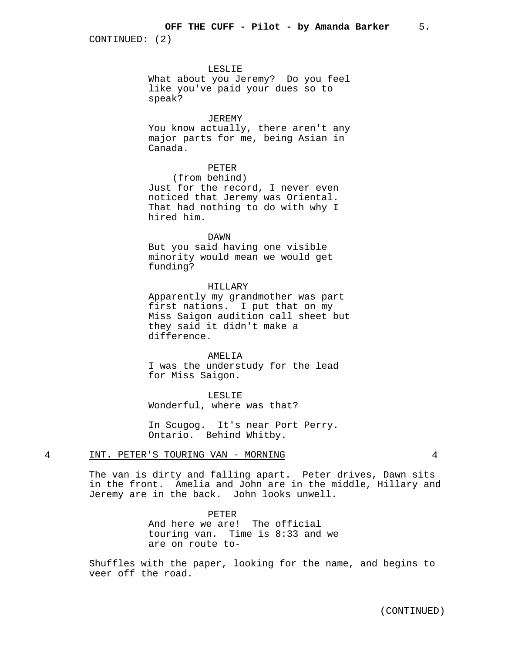#### LESLIE

What about you Jeremy? Do you feel like you've paid your dues so to speak?

## JEREMY

You know actually, there aren't any major parts for me, being Asian in Canada.

## PETER

(from behind) Just for the record, I never even noticed that Jeremy was Oriental. That had nothing to do with why I hired him.

DAWN

But you said having one visible minority would mean we would get funding?

## HILLARY

Apparently my grandmother was part first nations. I put that on my Miss Saigon audition call sheet but they said it didn't make a difference.

AMELITA I was the understudy for the lead for Miss Saigon.

LESLIE Wonderful, where was that?

In Scugog. It's near Port Perry. Ontario. Behind Whitby.

#### 4 INT. PETER'S TOURING VAN - MORNING 4

The van is dirty and falling apart. Peter drives, Dawn sits in the front. Amelia and John are in the middle, Hillary and Jeremy are in the back. John looks unwell.

> PETER And here we are! The official touring van. Time is 8:33 and we are on route to-

Shuffles with the paper, looking for the name, and begins to veer off the road.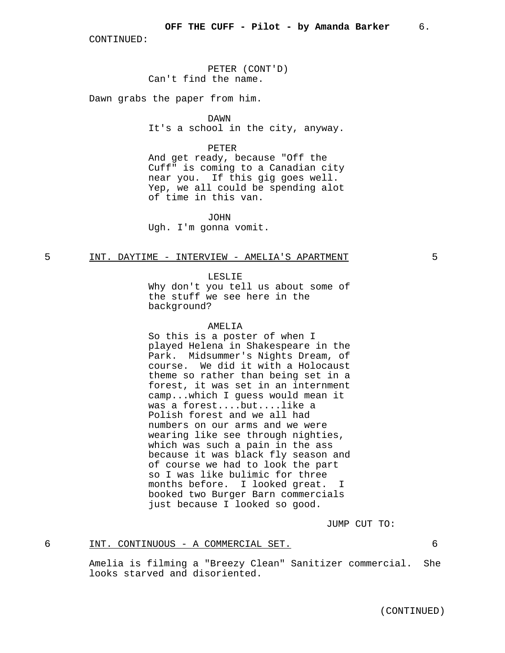PETER (CONT'D) Can't find the name.

Dawn grabs the paper from him.

DAWN

It's a school in the city, anyway.

PETER

And get ready, because "Off the Cuff" is coming to a Canadian city near you. If this gig goes well. Yep, we all could be spending alot of time in this van.

JOHN Ugh. I'm gonna vomit.

### 5 INT. DAYTIME - INTERVIEW - AMELIA'S APARTMENT 5

LESLIE

Why don't you tell us about some of the stuff we see here in the background?

#### AMELIA

So this is a poster of when I played Helena in Shakespeare in the Park. Midsummer's Nights Dream, of course. We did it with a Holocaust theme so rather than being set in a forest, it was set in an internment camp...which I guess would mean it was a forest....but....like a Polish forest and we all had numbers on our arms and we were wearing like see through nighties, which was such a pain in the ass because it was black fly season and of course we had to look the part so I was like bulimic for three months before. I looked great. I booked two Burger Barn commercials just because I looked so good.

JUMP CUT TO:

## 6 INT. CONTINUOUS - A COMMERCIAL SET. 6

Amelia is filming a "Breezy Clean" Sanitizer commercial. She looks starved and disoriented.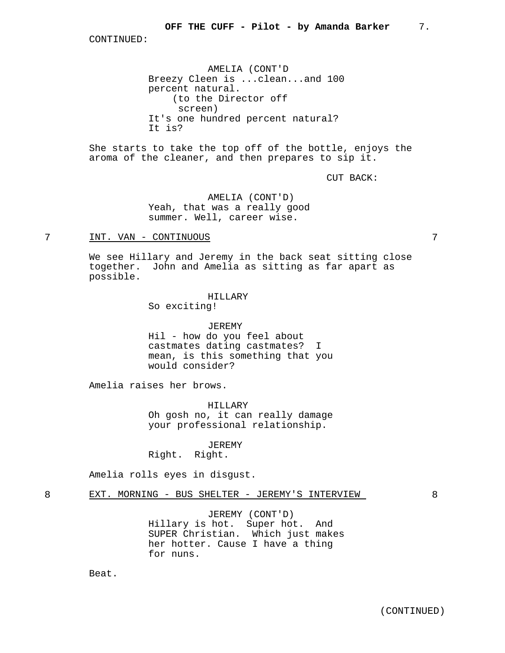AMELIA (CONT'D Breezy Cleen is ...clean...and 100 percent natural. (to the Director off screen) It's one hundred percent natural? It is?

She starts to take the top off of the bottle, enjoys the aroma of the cleaner, and then prepares to sip it.

CUT BACK:

AMELIA (CONT'D) Yeah, that was a really good summer. Well, career wise.

## 7 INT. VAN - CONTINUOUS 7

We see Hillary and Jeremy in the back seat sitting close together. John and Amelia as sitting as far apart as possible.

#### HILLARY

So exciting!

JEREMY

Hil - how do you feel about castmates dating castmates? I mean, is this something that you would consider?

Amelia raises her brows.

HILLARY Oh gosh no, it can really damage your professional relationship.

JEREMY Right. Right.

Amelia rolls eyes in disgust.

## 8 EXT. MORNING - BUS SHELTER - JEREMY'S INTERVIEW 8

JEREMY (CONT'D) Hillary is hot. Super hot. And SUPER Christian. Which just makes her hotter. Cause I have a thing for nuns.

Beat.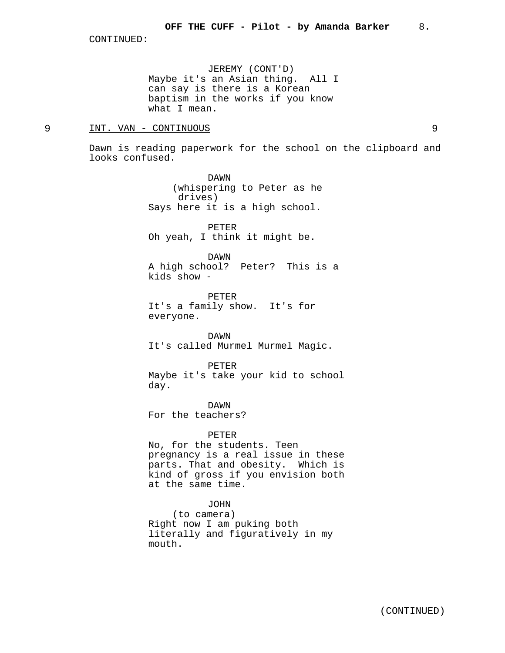JEREMY (CONT'D) Maybe it's an Asian thing. All I can say is there is a Korean baptism in the works if you know what I mean.

## 9 INT. VAN - CONTINUOUS 9

Dawn is reading paperwork for the school on the clipboard and looks confused.

> DAWN (whispering to Peter as he drives) Says here it is a high school.

PETER Oh yeah, I think it might be.

DAWN

A high school? Peter? This is a kids show -

PETER It's a family show. It's for everyone.

DAWN It's called Murmel Murmel Magic.

PETER Maybe it's take your kid to school day.

DAWN For the teachers?

PETER

No, for the students. Teen pregnancy is a real issue in these parts. That and obesity. Which is kind of gross if you envision both at the same time.

### JOHN

(to camera) Right now I am puking both literally and figuratively in my mouth.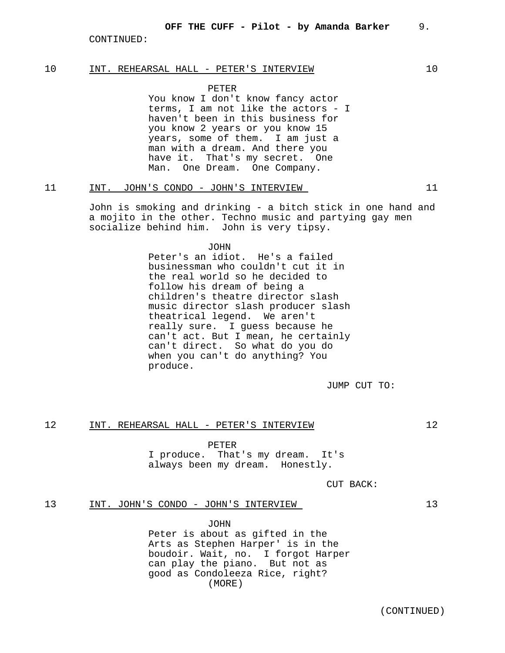## 10 INT. REHEARSAL HALL - PETER'S INTERVIEW 10

PETER

You know I don't know fancy actor terms, I am not like the actors - I haven't been in this business for you know 2 years or you know 15 years, some of them. I am just a man with a dream. And there you have it. That's my secret. One Man. One Dream. One Company.

## 11 INT. JOHN'S CONDO - JOHN'S INTERVIEW 11

John is smoking and drinking - a bitch stick in one hand and a mojito in the other. Techno music and partying gay men socialize behind him. John is very tipsy.

#### **JOHN**

Peter's an idiot. He's a failed businessman who couldn't cut it in the real world so he decided to follow his dream of being a children's theatre director slash music director slash producer slash theatrical legend. We aren't really sure. I guess because he can't act. But I mean, he certainly can't direct. So what do you do when you can't do anything? You produce.

JUMP CUT TO:

### 12 INT. REHEARSAL HALL - PETER'S INTERVIEW 12

PETER

I produce. That's my dream. It's always been my dream. Honestly.

CUT BACK:

## 13 INT. JOHN'S CONDO - JOHN'S INTERVIEW 13

JOHN

(MORE) Peter is about as gifted in the Arts as Stephen Harper' is in the boudoir. Wait, no. I forgot Harper can play the piano. But not as good as Condoleeza Rice, right?

(CONTINUED)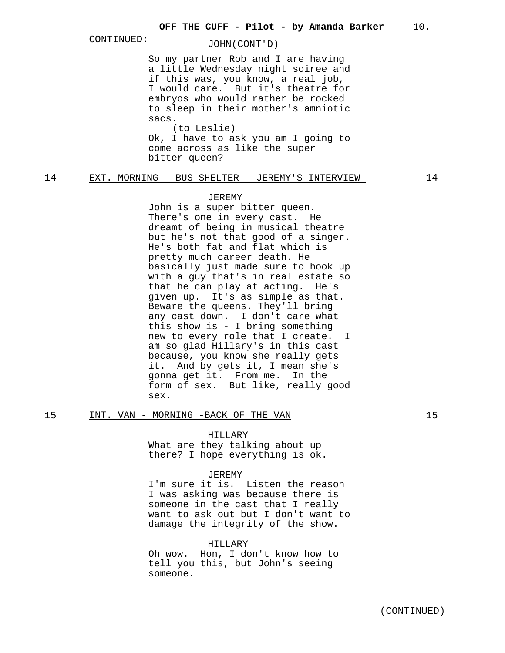## CONTINUED: JOHN(CONT'D)

So my partner Rob and I are having a little Wednesday night soiree and if this was, you know, a real job, I would care. But it's theatre for embryos who would rather be rocked to sleep in their mother's amniotic sacs.

(to Leslie) Ok, I have to ask you am I going to come across as like the super bitter queen?

## 14 EXT. MORNING - BUS SHELTER - JEREMY'S INTERVIEW 14

#### JEREMY

John is a super bitter queen. There's one in every cast. He dreamt of being in musical theatre but he's not that good of a singer. He's both fat and flat which is pretty much career death. He basically just made sure to hook up with a guy that's in real estate so that he can play at acting. He's given up. It's as simple as that. Beware the queens. They'll bring any cast down. I don't care what this show is - I bring something new to every role that I create. I am so glad Hillary's in this cast because, you know she really gets it. And by gets it, I mean she's gonna get it. From me. In the form of sex. But like, really good sex.

### 15 INT. VAN - MORNING -BACK OF THE VAN 15

### HILLARY

What are they talking about up there? I hope everything is ok.

#### JEREMY

I'm sure it is. Listen the reason I was asking was because there is someone in the cast that I really want to ask out but I don't want to damage the integrity of the show.

## HILLARY

Oh wow. Hon, I don't know how to tell you this, but John's seeing someone.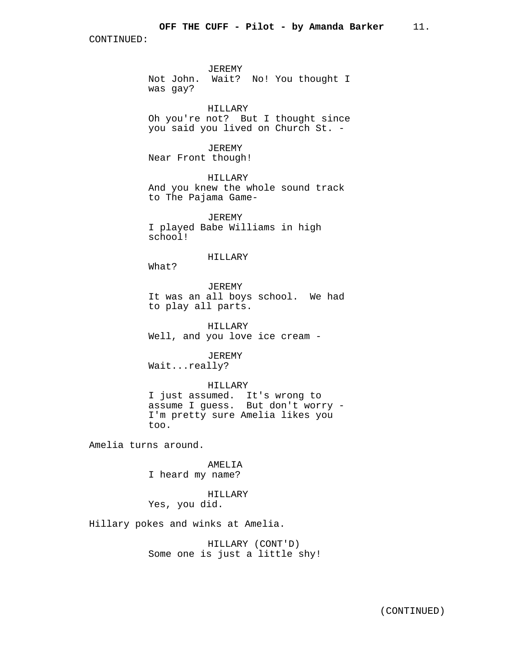JEREMY Not John. Wait? No! You thought I was gay?

HILLARY

Oh you're not? But I thought since you said you lived on Church St. -

JEREMY Near Front though!

HILLARY And you knew the whole sound track to The Pajama Game-

JEREMY I played Babe Williams in high school!

## HILLARY

What?

JEREMY It was an all boys school. We had to play all parts.

HILLARY Well, and you love ice cream -

JEREMY Wait...really?

HILLARY I just assumed. It's wrong to assume I guess. But don't worry - I'm pretty sure Amelia likes you too.

Amelia turns around.

AMELIA I heard my name?

## HILLARY

Yes, you did.

Hillary pokes and winks at Amelia.

HILLARY (CONT'D) Some one is just a little shy!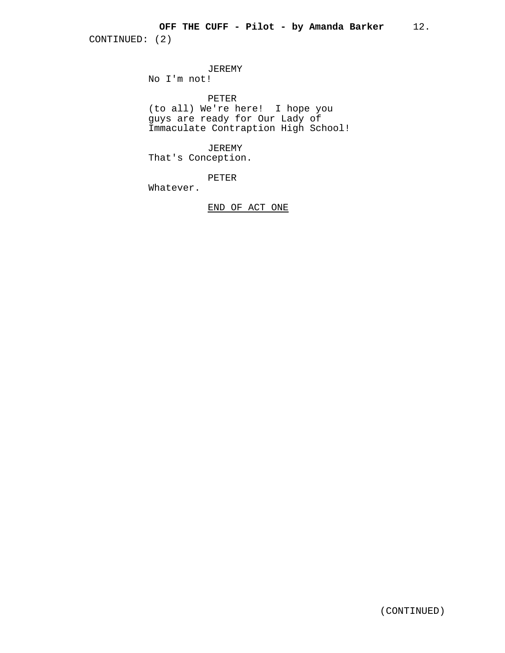JEREMY No I'm not!

PETER (to all) We're here! I hope you guys are ready for Our Lady of Immaculate Contraption High School!

JEREMY That's Conception.

PETER

Whatever.

END OF ACT ONE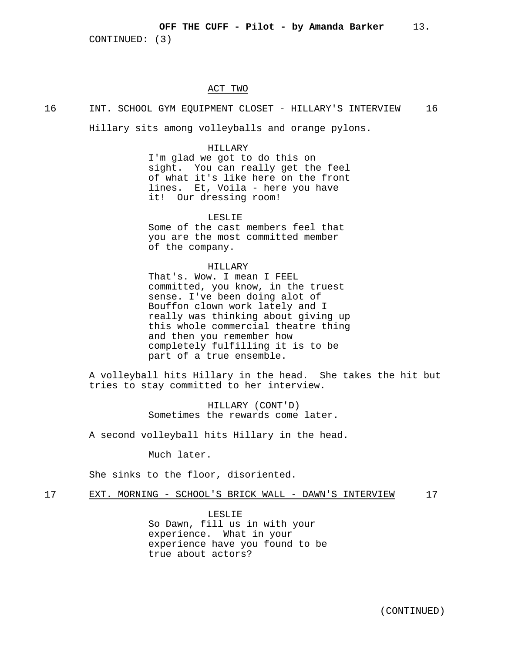## OFF THE CUFF - Pilot - by Amanda Barker 13.

CONTINUED: (3)

#### ACT TWO

## 16 INT. SCHOOL GYM EQUIPMENT CLOSET - HILLARY'S INTERVIEW 16

Hillary sits among volleyballs and orange pylons.

#### HILLARY

I'm glad we got to do this on sight. You can really get the feel of what it's like here on the front lines. Et, Voila - here you have it! Our dressing room!

### LESLIE

Some of the cast members feel that you are the most committed member of the company.

## HILLARY

That's. Wow. I mean I FEEL committed, you know, in the truest sense. I've been doing alot of Bouffon clown work lately and I really was thinking about giving up this whole commercial theatre thing and then you remember how completely fulfilling it is to be part of a true ensemble.

A volleyball hits Hillary in the head. She takes the hit but tries to stay committed to her interview.

> HILLARY (CONT'D) Sometimes the rewards come later.

A second volleyball hits Hillary in the head.

Much later.

She sinks to the floor, disoriented.

## 17 EXT. MORNING - SCHOOL'S BRICK WALL - DAWN'S INTERVIEW 17

LESLIE So Dawn, fill us in with your experience. What in your experience have you found to be true about actors?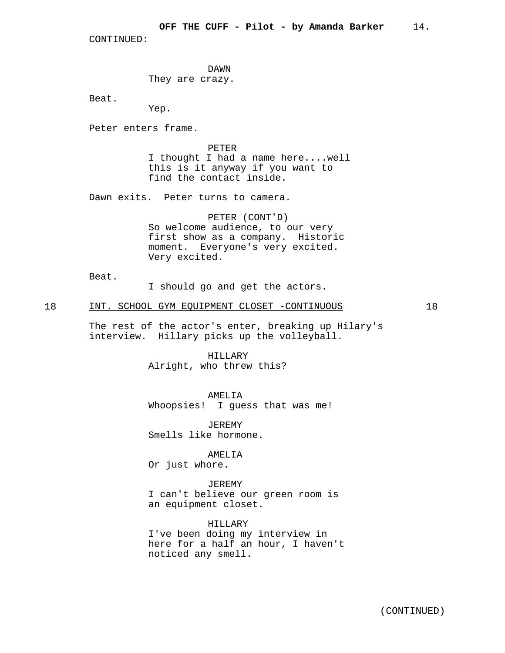DAWN They are crazy.

Beat.

Yep.

Peter enters frame.

PETER

I thought I had a name here....well this is it anyway if you want to find the contact inside.

Dawn exits. Peter turns to camera.

PETER (CONT'D) So welcome audience, to our very first show as a company. Historic moment. Everyone's very excited. Very excited.

Beat.

I should go and get the actors.

#### 18 INT. SCHOOL GYM EQUIPMENT CLOSET -CONTINUOUS 18

The rest of the actor's enter, breaking up Hilary's interview. Hillary picks up the volleyball.

> HILLARY Alright, who threw this?

> > AMELIA

Whoopsies! I guess that was me!

JEREMY Smells like hormone.

#### AMELIA

Or just whore.

JEREMY I can't believe our green room is an equipment closet.

HILLARY

I've been doing my interview in here for a half an hour, I haven't noticed any smell.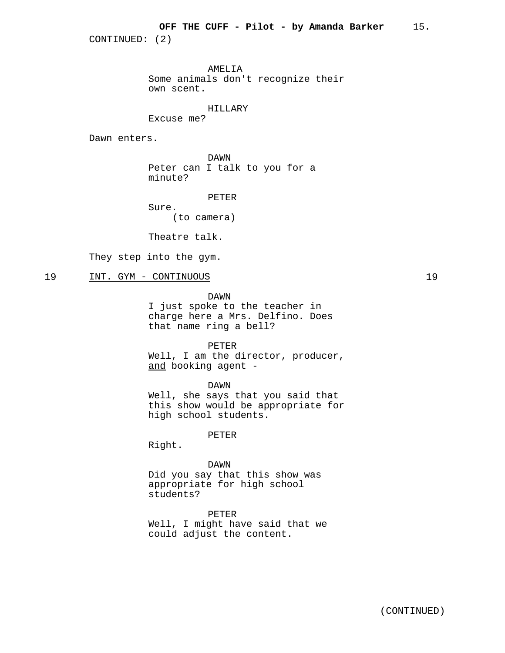AMELIA Some animals don't recognize their own scent.

## HILLARY

Excuse me?

Dawn enters.

DAWN Peter can I talk to you for a minute?

PETER

Sure. (to camera)

Theatre talk.

They step into the gym.

## 19 INT. GYM - CONTINUOUS 19

DAWN

I just spoke to the teacher in charge here a Mrs. Delfino. Does that name ring a bell?

#### PETER

Well, I am the director, producer, and booking agent -

DAWN Well, she says that you said that this show would be appropriate for high school students.

PETER

Right.

## DAWN

Did you say that this show was appropriate for high school students?

PETER Well, I might have said that we could adjust the content.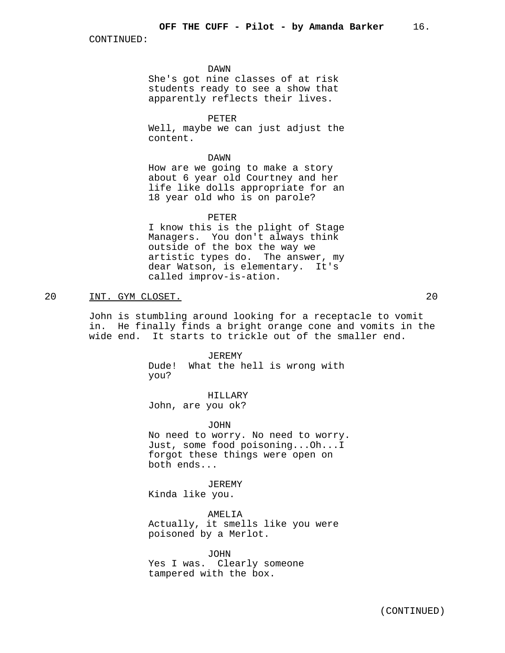DAWN

She's got nine classes of at risk students ready to see a show that apparently reflects their lives.

PETER Well, maybe we can just adjust the content.

DAWN

How are we going to make a story about 6 year old Courtney and her life like dolls appropriate for an 18 year old who is on parole?

#### PETER

I know this is the plight of Stage Managers. You don't always think outside of the box the way we artistic types do. The answer, my dear Watson, is elementary. It's called improv-is-ation.

20 INT. GYM CLOSET. 20

John is stumbling around looking for a receptacle to vomit in. He finally finds a bright orange cone and vomits in the wide end. It starts to trickle out of the smaller end.

> JEREMY Dude! What the hell is wrong with you?

HILLARY John, are you ok?

JOHN No need to worry. No need to worry. Just, some food poisoning...Oh...I forgot these things were open on both ends...

JEREMY Kinda like you.

AMELIA

Actually, it smells like you were poisoned by a Merlot.

JOHN Yes I was. Clearly someone tampered with the box.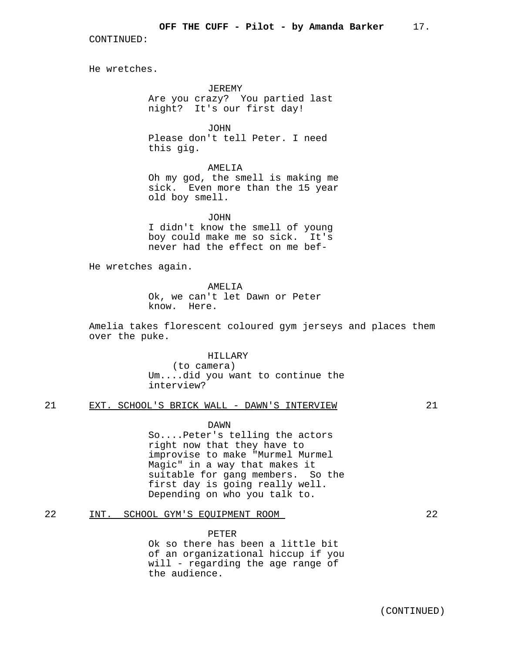He wretches.

JEREMY Are you crazy? You partied last night? It's our first day!

JOHN Please don't tell Peter. I need this gig.

AMELIA Oh my god, the smell is making me sick. Even more than the 15 year old boy smell.

JOHN

I didn't know the smell of young boy could make me so sick. It's never had the effect on me bef-

He wretches again.

AMELIA Ok, we can't let Dawn or Peter know. Here.

Amelia takes florescent coloured gym jerseys and places them over the puke.

> HILLARY (to camera) Um....did you want to continue the interview?

21 EXT. SCHOOL'S BRICK WALL - DAWN'S INTERVIEW 21

DAWN

So....Peter's telling the actors right now that they have to improvise to make "Murmel Murmel Magic" in a way that makes it suitable for gang members. So the first day is going really well. Depending on who you talk to.

## 22 INT. SCHOOL GYM'S EQUIPMENT ROOM 22

PETER Ok so there has been a little bit of an organizational hiccup if you will - regarding the age range of the audience.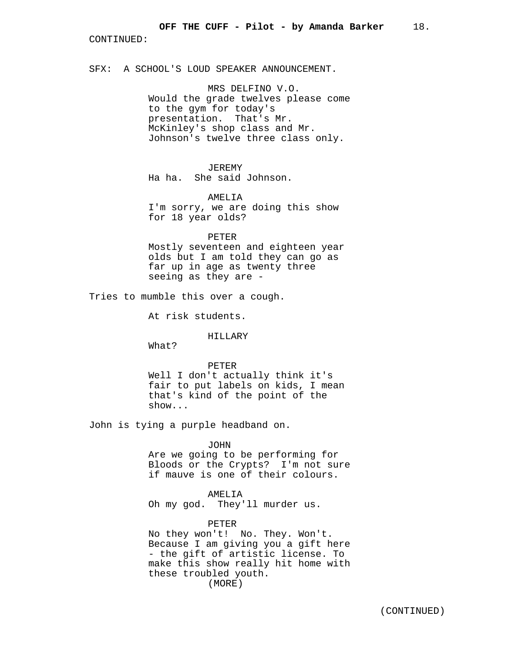SFX: A SCHOOL'S LOUD SPEAKER ANNOUNCEMENT.

MRS DELFINO V.O. Would the grade twelves please come to the gym for today's presentation. That's Mr. McKinley's shop class and Mr. Johnson's twelve three class only.

## JEREMY

Ha ha. She said Johnson.

### AMELIA

I'm sorry, we are doing this show for 18 year olds?

#### PETER

Mostly seventeen and eighteen year olds but I am told they can go as far up in age as twenty three seeing as they are -

Tries to mumble this over a cough.

At risk students.

### HILLARY

What?

#### PETER

Well I don't actually think it's fair to put labels on kids, I mean that's kind of the point of the show...

John is tying a purple headband on.

## JOHN

Are we going to be performing for Bloods or the Crypts? I'm not sure if mauve is one of their colours.

## AMELIA

Oh my god. They'll murder us.

## PETER

(MORE) No they won't! No. They. Won't. Because I am giving you a gift here - the gift of artistic license. To make this show really hit home with these troubled youth.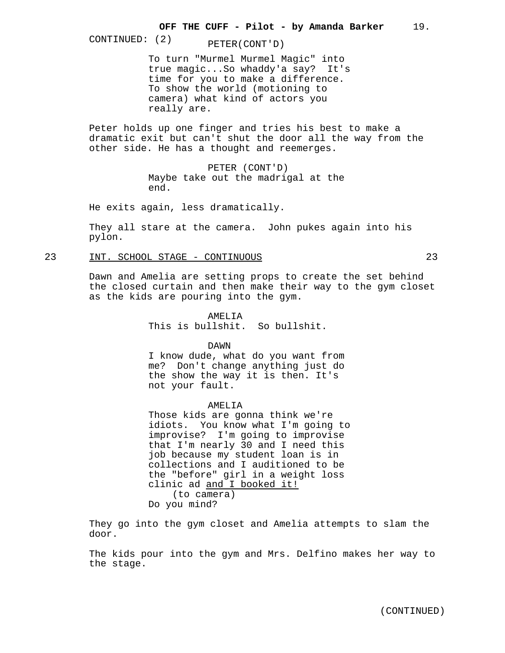CONTINUED: (2) PETER(CONT'D)

To turn "Murmel Murmel Magic" into true magic...So whaddy'a say? It's time for you to make a difference. To show the world (motioning to camera) what kind of actors you really are.

Peter holds up one finger and tries his best to make a dramatic exit but can't shut the door all the way from the other side. He has a thought and reemerges.

> PETER (CONT'D) Maybe take out the madrigal at the end.

He exits again, less dramatically.

They all stare at the camera. John pukes again into his pylon.

23 INT. SCHOOL STAGE - CONTINUOUS 23

Dawn and Amelia are setting props to create the set behind the closed curtain and then make their way to the gym closet as the kids are pouring into the gym.

> AMEL.TA This is bullshit. So bullshit.

DAWN I know dude, what do you want from me? Don't change anything just do the show the way it is then. It's not your fault.

AMELIA

Those kids are gonna think we're idiots. You know what I'm going to improvise? I'm going to improvise that I'm nearly 30 and I need this job because my student loan is in collections and I auditioned to be the "before" girl in a weight loss clinic ad and I booked it! (to camera) Do you mind?

They go into the gym closet and Amelia attempts to slam the door.

The kids pour into the gym and Mrs. Delfino makes her way to the stage.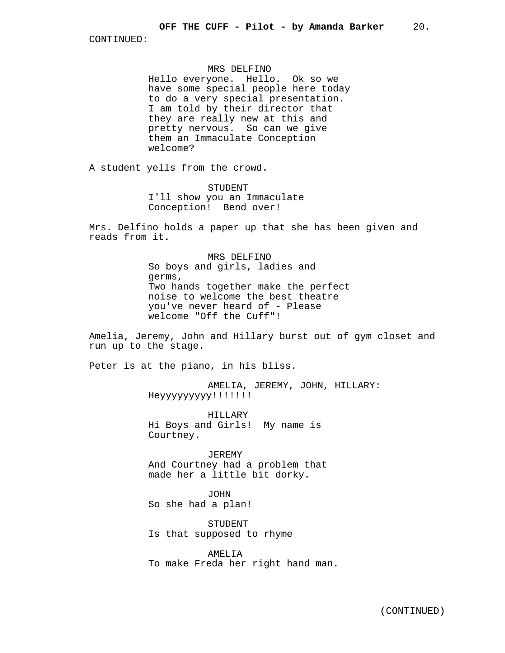## MRS DELFINO

Hello everyone. Hello. Ok so we have some special people here today to do a very special presentation. I am told by their director that they are really new at this and pretty nervous. So can we give them an Immaculate Conception welcome?

A student yells from the crowd.

STUDENT I'll show you an Immaculate Conception! Bend over!

Mrs. Delfino holds a paper up that she has been given and reads from it.

> MRS DELFINO So boys and girls, ladies and germs, Two hands together make the perfect noise to welcome the best theatre you've never heard of - Please welcome "Off the Cuff"!

Amelia, Jeremy, John and Hillary burst out of gym closet and run up to the stage.

Peter is at the piano, in his bliss.

AMELIA, JEREMY, JOHN, HILLARY: Heyyyyyyyyy!!!!!!!

HILLARY Hi Boys and Girls! My name is Courtney.

JEREMY And Courtney had a problem that made her a little bit dorky.

JOHN So she had a plan!

STUDENT Is that supposed to rhyme

AMELIA To make Freda her right hand man.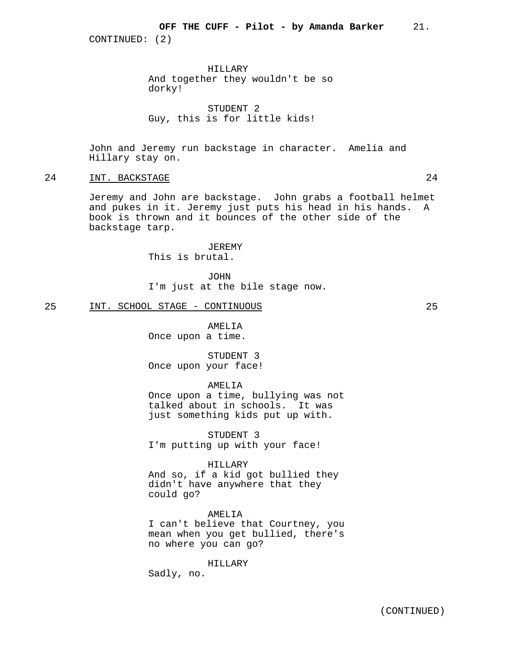HILLARY And together they wouldn't be so dorky!

STUDENT 2 Guy, this is for little kids!

John and Jeremy run backstage in character. Amelia and Hillary stay on.

## 24 INT. BACKSTAGE 24

Jeremy and John are backstage. John grabs a football helmet and pukes in it. Jeremy just puts his head in his hands. A book is thrown and it bounces of the other side of the backstage tarp.

> JEREMY This is brutal.

JOHN I'm just at the bile stage now.

#### 25 INT. SCHOOL STAGE - CONTINUOUS 25

AMELIA Once upon a time.

STUDENT 3 Once upon your face!

## AMELIA

Once upon a time, bullying was not talked about in schools. It was just something kids put up with.

STUDENT 3 I'm putting up with your face!

#### HILLARY

And so, if a kid got bullied they didn't have anywhere that they could go?

AMELIA I can't believe that Courtney, you mean when you get bullied, there's no where you can go?

HILLARY

Sadly, no.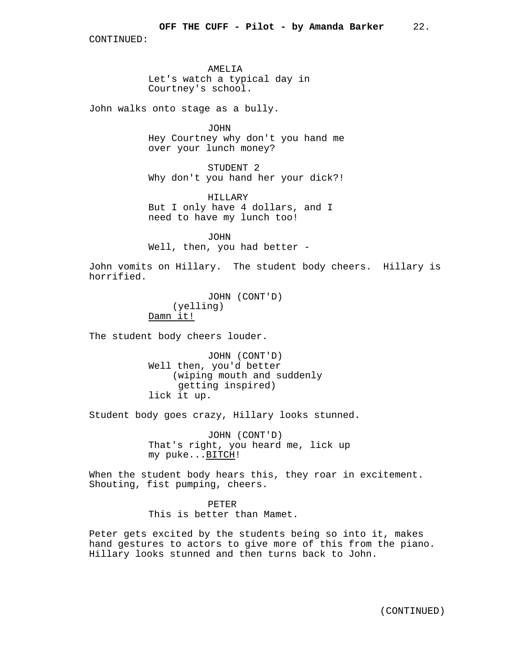AMELIA Let's watch a typical day in Courtney's school.

John walks onto stage as a bully.

JOHN Hey Courtney why don't you hand me over your lunch money?

STUDENT 2 Why don't you hand her your dick?!

HILLARY But I only have 4 dollars, and I need to have my lunch too!

JOHN Well, then, you had better -

John vomits on Hillary. The student body cheers. Hillary is horrified.

> JOHN (CONT'D) (yelling) Damn it!

The student body cheers louder.

JOHN (CONT'D) Well then, you'd better (wiping mouth and suddenly getting inspired) lick it up.

Student body goes crazy, Hillary looks stunned.

JOHN (CONT'D) That's right, you heard me, lick up my puke...BITCH!

When the student body hears this, they roar in excitement. Shouting, fist pumping, cheers.

> PETER This is better than Mamet.

Peter gets excited by the students being so into it, makes hand gestures to actors to give more of this from the piano. Hillary looks stunned and then turns back to John.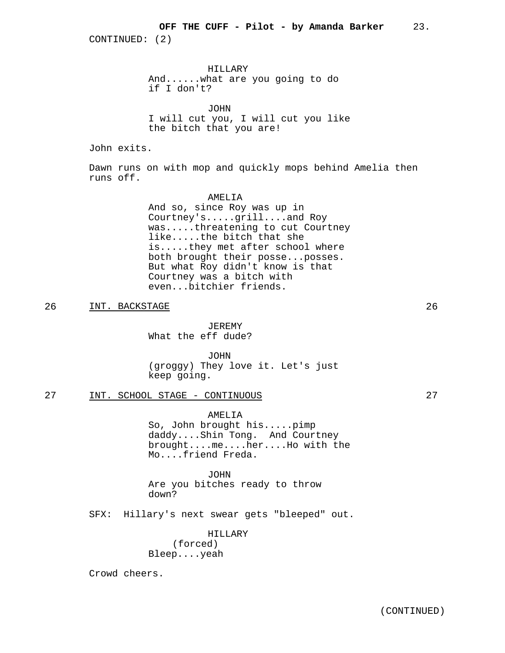HILLARY And......what are you going to do if I don't?

JOHN I will cut you, I will cut you like the bitch that you are!

John exits.

Dawn runs on with mop and quickly mops behind Amelia then runs off.

### AMELIA

And so, since Roy was up in Courtney's.....grill....and Roy was.....threatening to cut Courtney like.....the bitch that she is.....they met after school where both brought their posse...posses. But what Roy didn't know is that Courtney was a bitch with even...bitchier friends.

26 INT. BACKSTAGE 26

JEREMY What the eff dude?

JOHN (groggy) They love it. Let's just keep going.

## 27 INT. SCHOOL STAGE - CONTINUOUS 27

AMELIA So, John brought his.....pimp daddy....Shin Tong. And Courtney brought....me....her....Ho with the Mo....friend Freda.

JOHN Are you bitches ready to throw down?

SFX: Hillary's next swear gets "bleeped" out.

HILLARY (forced) Bleep....yeah

Crowd cheers.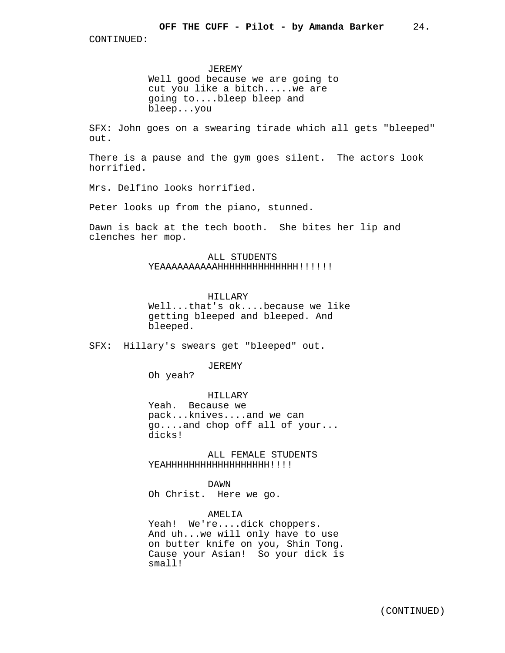JEREMY Well good because we are going to cut you like a bitch.....we are going to....bleep bleep and bleep...you

SFX: John goes on a swearing tirade which all gets "bleeped" out.

There is a pause and the gym goes silent. The actors look horrified.

Mrs. Delfino looks horrified.

Peter looks up from the piano, stunned.

Dawn is back at the tech booth. She bites her lip and clenches her mop.

> ALL STUDENTS YEAAAAAAAAAAHHHHHHHHHHHHHHH!!!!!!

#### HILLARY

Well...that's ok....because we like getting bleeped and bleeped. And bleeped.

SFX: Hillary's swears get "bleeped" out.

#### JEREMY

Oh yeah?

HILLARY

Yeah. Because we pack...knives....and we can go....and chop off all of your... dicks!

ALL FEMALE STUDENTS YEAHHHHHHHHHHHHHHH!!!!

DAWN

Oh Christ. Here we go.

## AMELIA

Yeah! We're....dick choppers. And uh...we will only have to use on butter knife on you, Shin Tong. Cause your Asian! So your dick is small!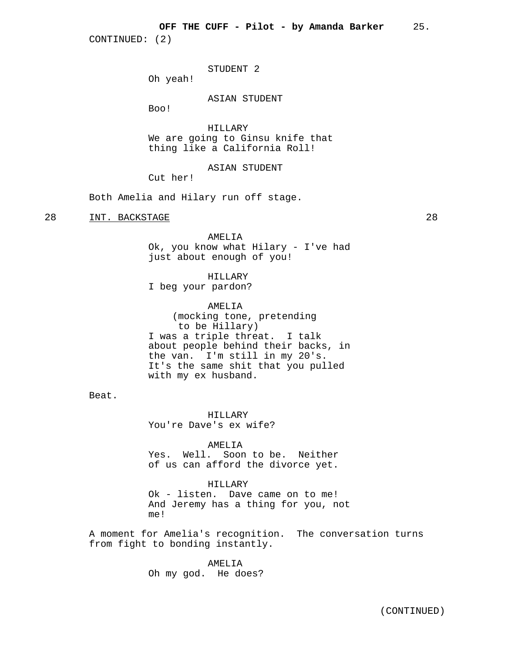STUDENT 2

Oh yeah!

ASIAN STUDENT

Boo!

HILLARY We are going to Ginsu knife that thing like a California Roll!

## ASIAN STUDENT

Cut her!

Both Amelia and Hilary run off stage.

## 28 INT. BACKSTAGE 28

AMELIA Ok, you know what Hilary - I've had just about enough of you!

HILLARY

I beg your pardon?

AMELIA (mocking tone, pretending to be Hillary) I was a triple threat. I talk about people behind their backs, in the van. I'm still in my 20's. It's the same shit that you pulled with my ex husband.

Beat.

HILLARY You're Dave's ex wife?

AMELIA

Yes. Well. Soon to be. Neither of us can afford the divorce yet.

HILLARY

Ok - listen. Dave came on to me! And Jeremy has a thing for you, not me!

A moment for Amelia's recognition. The conversation turns from fight to bonding instantly.

> AMELIA Oh my god. He does?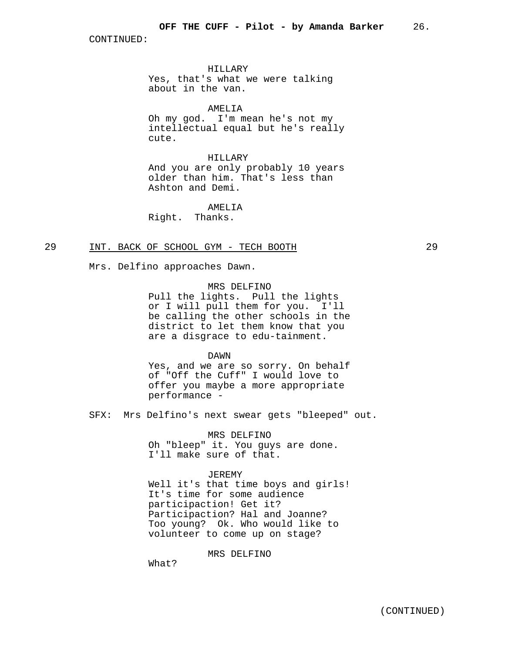HILLARY Yes, that's what we were talking about in the van.

AMELIA

Oh my god. I'm mean he's not my intellectual equal but he's really cute.

HILLARY

And you are only probably 10 years older than him. That's less than Ashton and Demi.

AMELIA

Right. Thanks.

## 29 INT. BACK OF SCHOOL GYM - TECH BOOTH 29

Mrs. Delfino approaches Dawn.

## MRS DELFINO

Pull the lights. Pull the lights or I will pull them for you. I'll be calling the other schools in the district to let them know that you are a disgrace to edu-tainment.

## DAWN

Yes, and we are so sorry. On behalf of "Off the Cuff" I would love to offer you maybe a more appropriate performance -

SFX: Mrs Delfino's next swear gets "bleeped" out.

MRS DELFINO

Oh "bleep" it. You guys are done. I'll make sure of that.

#### JEREMY

Well it's that time boys and girls! It's time for some audience participaction! Get it? Participaction? Hal and Joanne? Too young? Ok. Who would like to volunteer to come up on stage?

## MRS DELFINO

What?

(CONTINUED)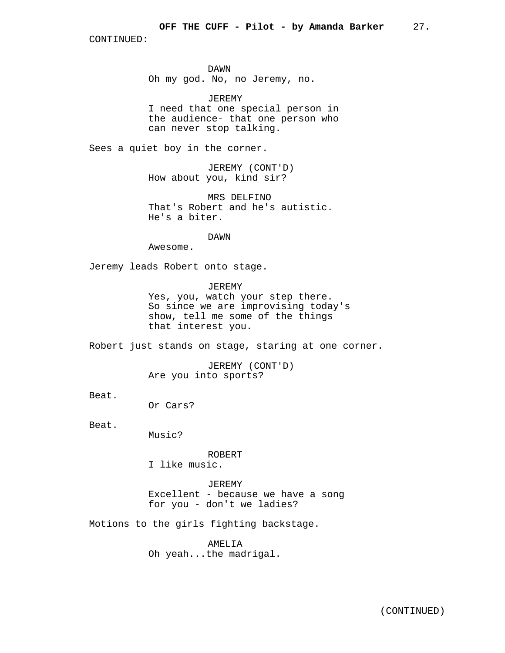DAWN Oh my god. No, no Jeremy, no.

JEREMY I need that one special person in the audience- that one person who can never stop talking.

Sees a quiet boy in the corner.

JEREMY (CONT'D) How about you, kind sir?

MRS DELFINO That's Robert and he's autistic. He's a biter.

DAWN

Awesome.

Jeremy leads Robert onto stage.

JEREMY

Yes, you, watch your step there. So since we are improvising today's show, tell me some of the things that interest you.

Robert just stands on stage, staring at one corner.

JEREMY (CONT'D) Are you into sports?

Beat.

Or Cars?

Beat.

Music?

ROBERT

I like music.

JEREMY Excellent - because we have a song for you - don't we ladies?

Motions to the girls fighting backstage.

AMELIA Oh yeah...the madrigal.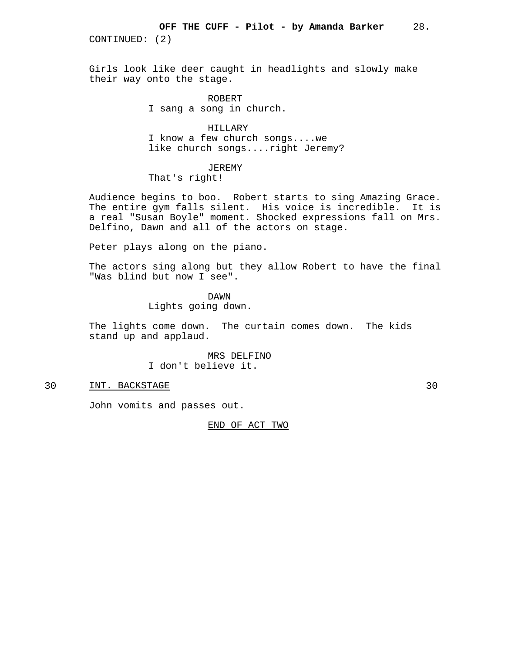Girls look like deer caught in headlights and slowly make their way onto the stage.

> ROBERT I sang a song in church.

HILLARY I know a few church songs....we like church songs....right Jeremy?

## JEREMY

That's right!

Audience begins to boo. Robert starts to sing Amazing Grace. The entire gym falls silent. His voice is incredible. It is a real "Susan Boyle" moment. Shocked expressions fall on Mrs. Delfino, Dawn and all of the actors on stage.

Peter plays along on the piano.

The actors sing along but they allow Robert to have the final "Was blind but now I see".

DAWN

Lights going down.

The lights come down. The curtain comes down. The kids stand up and applaud.

> MRS DELFINO I don't believe it.

## 30 INT. BACKSTAGE 30

John vomits and passes out.

END OF ACT TWO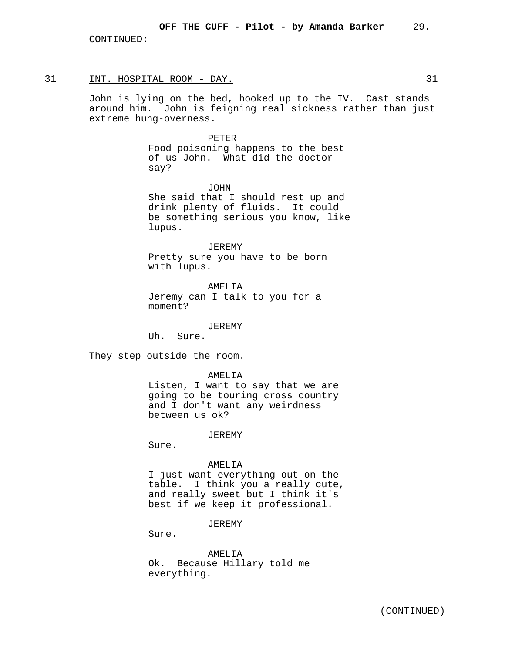#### 31 INT. HOSPITAL ROOM - DAY. 31

John is lying on the bed, hooked up to the IV. Cast stands around him. John is feigning real sickness rather than just extreme hung-overness.

#### PETER

Food poisoning happens to the best of us John. What did the doctor say?

JOHN She said that I should rest up and drink plenty of fluids. It could be something serious you know, like lupus.

JEREMY Pretty sure you have to be born with lupus.

AMELIA Jeremy can I talk to you for a moment?

JEREMY

Uh. Sure.

They step outside the room.

AMELIA

Listen, I want to say that we are going to be touring cross country and I don't want any weirdness between us ok?

JEREMY

Sure.

#### AMELIA

I just want everything out on the table. I think you a really cute, and really sweet but I think it's best if we keep it professional.

#### JEREMY

Sure.

AMELIA Ok. Because Hillary told me everything.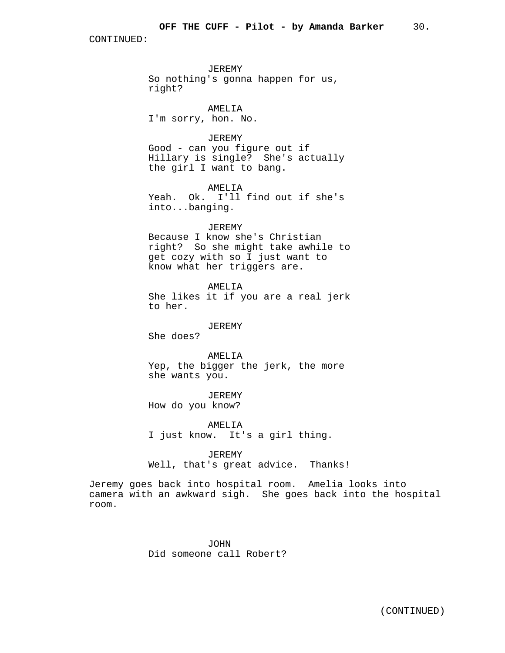JEREMY So nothing's gonna happen for us, right?

AMELIA I'm sorry, hon. No.

JEREMY Good - can you figure out if Hillary is single? She's actually the girl I want to bang.

AMELIA Yeah. Ok. I'll find out if she's into...banging.

## JEREMY

Because I know she's Christian right? So she might take awhile to get cozy with so I just want to know what her triggers are.

## AMELIA

She likes it if you are a real jerk to her.

### JEREMY

She does?

AMELIA Yep, the bigger the jerk, the more she wants you.

JEREMY How do you know?

AMELIA I just know. It's a girl thing.

JEREMY Well, that's great advice. Thanks!

Jeremy goes back into hospital room. Amelia looks into camera with an awkward sigh. She goes back into the hospital room.

> JOHN Did someone call Robert?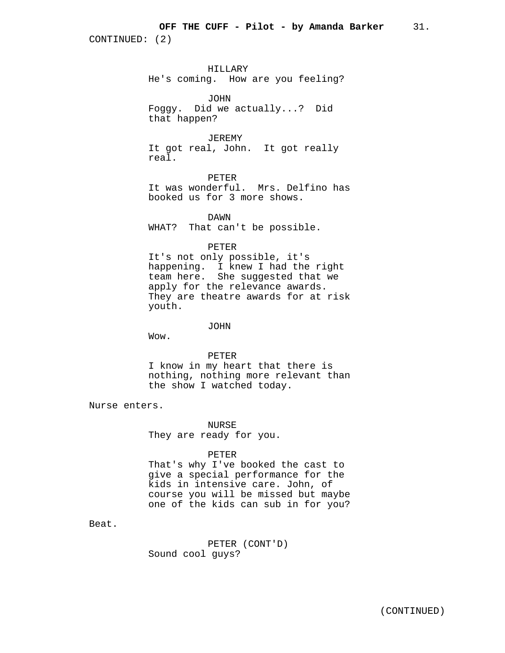HILLARY He's coming. How are you feeling?

JOHN Foggy. Did we actually...? Did that happen?

JEREMY It got real, John. It got really real.

PETER It was wonderful. Mrs. Delfino has booked us for 3 more shows.

DAWN WHAT? That can't be possible.

PETER

It's not only possible, it's happening. I knew I had the right team here. She suggested that we apply for the relevance awards. They are theatre awards for at risk youth.

JOHN

Wow.

PETER

I know in my heart that there is nothing, nothing more relevant than the show I watched today.

Nurse enters.

NURSE They are ready for you.

PETER

That's why I've booked the cast to give a special performance for the kids in intensive care. John, of course you will be missed but maybe one of the kids can sub in for you?

Beat.

PETER (CONT'D) Sound cool guys?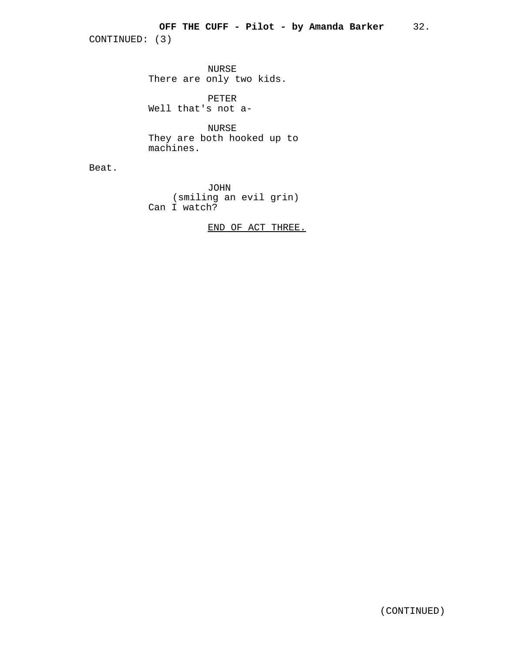NURSE There are only two kids.

PETER Well that's not a-

NURSE They are both hooked up to machines.

Beat.

JOHN (smiling an evil grin) Can I watch?

END OF ACT THREE.